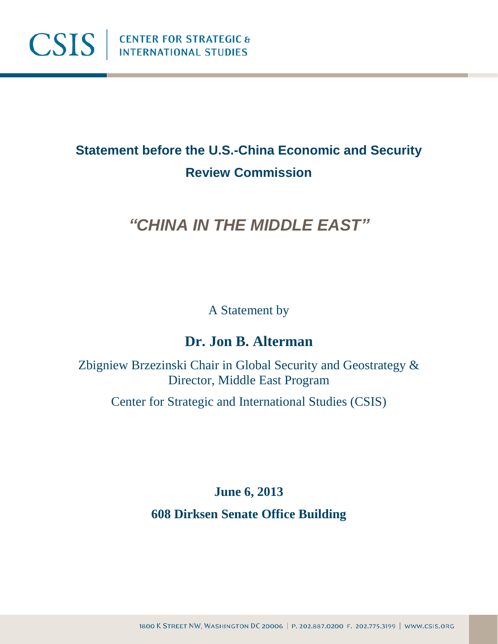

# **Statement before the U.S.-China Economic and Security Review Commission**

# *"CHINA IN THE MIDDLE EAST"*

A Statement by

### **Dr. Jon B. Alterman**

Zbigniew Brzezinski Chair in Global Security and Geostrategy & Director, Middle East Program

Center for Strategic and International Studies (CSIS)

**June 6, 2013**

**608 Dirksen Senate Office Building**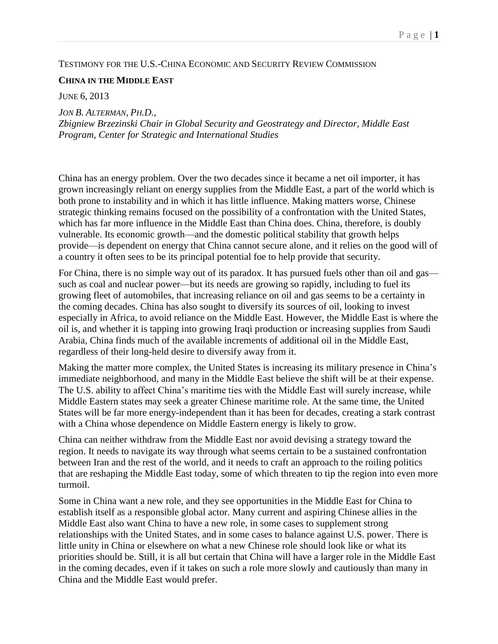#### TESTIMONY FOR THE U.S.-CHINA ECONOMIC AND SECURITY REVIEW COMMISSION

#### **CHINA IN THE MIDDLE EAST**

JUNE 6, 2013

*JON B. ALTERMAN, PH.D., Zbigniew Brzezinski Chair in Global Security and Geostrategy and Director, Middle East Program, Center for Strategic and International Studies*

China has an energy problem. Over the two decades since it became a net oil importer, it has grown increasingly reliant on energy supplies from the Middle East, a part of the world which is both prone to instability and in which it has little influence. Making matters worse, Chinese strategic thinking remains focused on the possibility of a confrontation with the United States, which has far more influence in the Middle East than China does. China, therefore, is doubly vulnerable. Its economic growth—and the domestic political stability that growth helps provide—is dependent on energy that China cannot secure alone, and it relies on the good will of a country it often sees to be its principal potential foe to help provide that security.

For China, there is no simple way out of its paradox. It has pursued fuels other than oil and gas such as coal and nuclear power—but its needs are growing so rapidly, including to fuel its growing fleet of automobiles, that increasing reliance on oil and gas seems to be a certainty in the coming decades. China has also sought to diversify its sources of oil, looking to invest especially in Africa, to avoid reliance on the Middle East. However, the Middle East is where the oil is, and whether it is tapping into growing Iraqi production or increasing supplies from Saudi Arabia, China finds much of the available increments of additional oil in the Middle East, regardless of their long-held desire to diversify away from it.

Making the matter more complex, the United States is increasing its military presence in China's immediate neighborhood, and many in the Middle East believe the shift will be at their expense. The U.S. ability to affect China's maritime ties with the Middle East will surely increase, while Middle Eastern states may seek a greater Chinese maritime role. At the same time, the United States will be far more energy-independent than it has been for decades, creating a stark contrast with a China whose dependence on Middle Eastern energy is likely to grow.

China can neither withdraw from the Middle East nor avoid devising a strategy toward the region. It needs to navigate its way through what seems certain to be a sustained confrontation between Iran and the rest of the world, and it needs to craft an approach to the roiling politics that are reshaping the Middle East today, some of which threaten to tip the region into even more turmoil.

Some in China want a new role, and they see opportunities in the Middle East for China to establish itself as a responsible global actor. Many current and aspiring Chinese allies in the Middle East also want China to have a new role, in some cases to supplement strong relationships with the United States, and in some cases to balance against U.S. power. There is little unity in China or elsewhere on what a new Chinese role should look like or what its priorities should be. Still, it is all but certain that China will have a larger role in the Middle East in the coming decades, even if it takes on such a role more slowly and cautiously than many in China and the Middle East would prefer.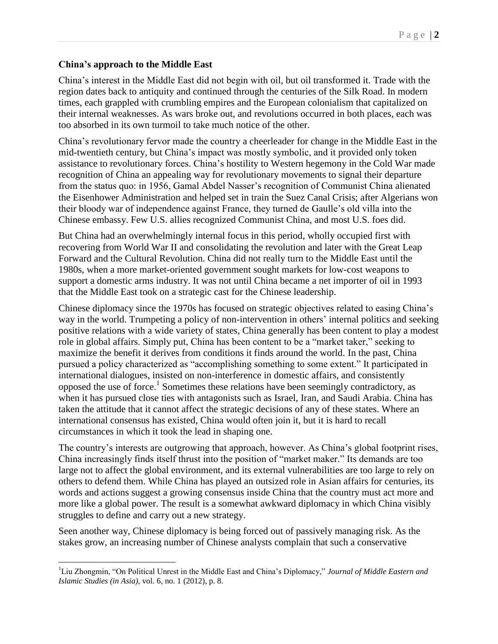#### **China's approach to the Middle East**

 $\overline{a}$ 

China's interest in the Middle East did not begin with oil, but oil transformed it. Trade with the region dates back to antiquity and continued through the centuries of the Silk Road. In modern times, each grappled with crumbling empires and the European colonialism that capitalized on their internal weaknesses. As wars broke out, and revolutions occurred in both places, each was too absorbed in its own turmoil to take much notice of the other.

China's revolutionary fervor made the country a cheerleader for change in the Middle East in the mid-twentieth century, but China's impact was mostly symbolic, and it provided only token assistance to revolutionary forces. China's hostility to Western hegemony in the Cold War made recognition of China an appealing way for revolutionary movements to signal their departure from the status quo: in 1956, Gamal Abdel Nasser's recognition of Communist China alienated the Eisenhower Administration and helped set in train the Suez Canal Crisis; after Algerians won their bloody war of independence against France, they turned de Gaulle's old villa into the Chinese embassy. Few U.S. allies recognized Communist China, and most U.S. foes did.

But China had an overwhelmingly internal focus in this period, wholly occupied first with recovering from World War II and consolidating the revolution and later with the Great Leap Forward and the Cultural Revolution. China did not really turn to the Middle East until the 1980s, when a more market-oriented government sought markets for low-cost weapons to support a domestic arms industry. It was not until China became a net importer of oil in 1993 that the Middle East took on a strategic cast for the Chinese leadership.

Chinese diplomacy since the 1970s has focused on strategic objectives related to easing China's way in the world. Trumpeting a policy of non-intervention in others' internal politics and seeking positive relations with a wide variety of states, China generally has been content to play a modest role in global affairs. Simply put, China has been content to be a "market taker," seeking to maximize the benefit it derives from conditions it finds around the world. In the past, China pursued a policy characterized as "accomplishing something to some extent." It participated in international dialogues, insisted on non-interference in domestic affairs, and consistently opposed the use of force.<sup>1</sup> Sometimes these relations have been seemingly contradictory, as when it has pursued close ties with antagonists such as Israel, Iran, and Saudi Arabia. China has taken the attitude that it cannot affect the strategic decisions of any of these states. Where an international consensus has existed, China would often join it, but it is hard to recall circumstances in which it took the lead in shaping one.

The country's interests are outgrowing that approach, however. As China's global footprint rises, China increasingly finds itself thrust into the position of "market maker." Its demands are too large not to affect the global environment, and its external vulnerabilities are too large to rely on others to defend them. While China has played an outsized role in Asian affairs for centuries, its words and actions suggest a growing consensus inside China that the country must act more and more like a global power. The result is a somewhat awkward diplomacy in which China visibly struggles to define and carry out a new strategy.

Seen another way, Chinese diplomacy is being forced out of passively managing risk. As the stakes grow, an increasing number of Chinese analysts complain that such a conservative

<sup>1</sup>Liu Zhongmin, "On Political Unrest in the Middle East and China's Diplomacy," *Journal of Middle Eastern and Islamic Studies (in Asia),* vol. 6, no. 1 (2012), p. 8.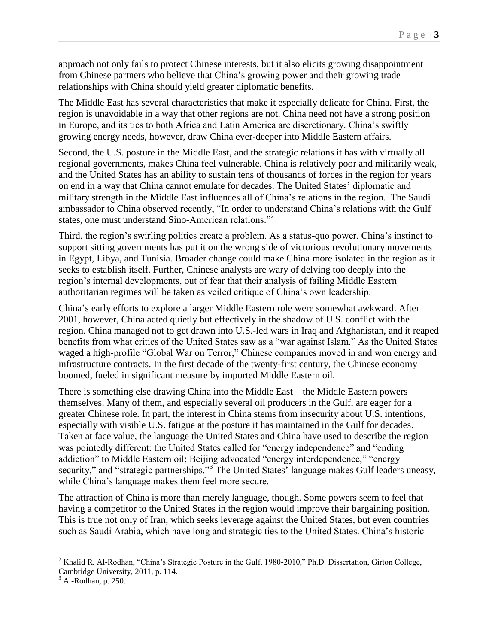approach not only fails to protect Chinese interests, but it also elicits growing disappointment from Chinese partners who believe that China's growing power and their growing trade relationships with China should yield greater diplomatic benefits.

The Middle East has several characteristics that make it especially delicate for China. First, the region is unavoidable in a way that other regions are not. China need not have a strong position in Europe, and its ties to both Africa and Latin America are discretionary. China's swiftly growing energy needs, however, draw China ever-deeper into Middle Eastern affairs.

Second, the U.S. posture in the Middle East, and the strategic relations it has with virtually all regional governments, makes China feel vulnerable. China is relatively poor and militarily weak, and the United States has an ability to sustain tens of thousands of forces in the region for years on end in a way that China cannot emulate for decades. The United States' diplomatic and military strength in the Middle East influences all of China's relations in the region. The Saudi ambassador to China observed recently, "In order to understand China's relations with the Gulf states, one must understand Sino-American relations."<sup>2</sup>

Third, the region's swirling politics create a problem. As a status-quo power, China's instinct to support sitting governments has put it on the wrong side of victorious revolutionary movements in Egypt, Libya, and Tunisia. Broader change could make China more isolated in the region as it seeks to establish itself. Further, Chinese analysts are wary of delving too deeply into the region's internal developments, out of fear that their analysis of failing Middle Eastern authoritarian regimes will be taken as veiled critique of China's own leadership.

China's early efforts to explore a larger Middle Eastern role were somewhat awkward. After 2001, however, China acted quietly but effectively in the shadow of U.S. conflict with the region. China managed not to get drawn into U.S.-led wars in Iraq and Afghanistan, and it reaped benefits from what critics of the United States saw as a "war against Islam." As the United States waged a high-profile "Global War on Terror," Chinese companies moved in and won energy and infrastructure contracts. In the first decade of the twenty-first century, the Chinese economy boomed, fueled in significant measure by imported Middle Eastern oil.

There is something else drawing China into the Middle East—the Middle Eastern powers themselves. Many of them, and especially several oil producers in the Gulf, are eager for a greater Chinese role. In part, the interest in China stems from insecurity about U.S. intentions, especially with visible U.S. fatigue at the posture it has maintained in the Gulf for decades. Taken at face value, the language the United States and China have used to describe the region was pointedly different: the United States called for "energy independence" and "ending addiction" to Middle Eastern oil; Beijing advocated "energy interdependence," "energy security," and "strategic partnerships."<sup>3</sup> The United States' language makes Gulf leaders uneasy, while China's language makes them feel more secure.

The attraction of China is more than merely language, though. Some powers seem to feel that having a competitor to the United States in the region would improve their bargaining position. This is true not only of Iran, which seeks leverage against the United States, but even countries such as Saudi Arabia, which have long and strategic ties to the United States. China's historic

<sup>&</sup>lt;sup>2</sup> Khalid R. Al-Rodhan, "China's Strategic Posture in the Gulf, 1980-2010," Ph.D. Dissertation, Girton College, Cambridge University, 2011, p. 114.

 $3$  Al-Rodhan, p. 250.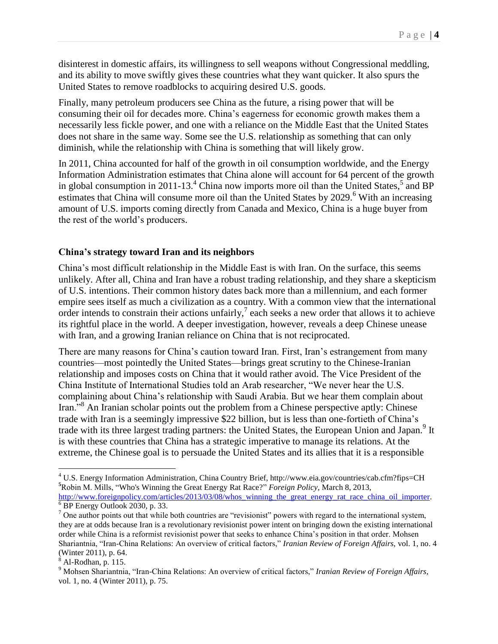disinterest in domestic affairs, its willingness to sell weapons without Congressional meddling, and its ability to move swiftly gives these countries what they want quicker. It also spurs the United States to remove roadblocks to acquiring desired U.S. goods.

Finally, many petroleum producers see China as the future, a rising power that will be consuming their oil for decades more. China's eagerness for economic growth makes them a necessarily less fickle power, and one with a reliance on the Middle East that the United States does not share in the same way. Some see the U.S. relationship as something that can only diminish, while the relationship with China is something that will likely grow.

In 2011, China accounted for half of the growth in oil consumption worldwide, and the Energy Information Administration estimates that China alone will account for 64 percent of the growth in global consumption in 2011-13.<sup>4</sup> China now imports more oil than the United States,<sup>5</sup> and BP estimates that China will consume more oil than the United States by 2029.<sup>6</sup> With an increasing amount of U.S. imports coming directly from Canada and Mexico, China is a huge buyer from the rest of the world's producers.

#### **China's strategy toward Iran and its neighbors**

China's most difficult relationship in the Middle East is with Iran. On the surface, this seems unlikely. After all, China and Iran have a robust trading relationship, and they share a skepticism of U.S. intentions. Their common history dates back more than a millennium, and each former empire sees itself as much a civilization as a country. With a common view that the international order intends to constrain their actions unfairly,  $\frac{1}{2}$  each seeks a new order that allows it to achieve its rightful place in the world. A deeper investigation, however, reveals a deep Chinese unease with Iran, and a growing Iranian reliance on China that is not reciprocated.

There are many reasons for China's caution toward Iran. First, Iran's estrangement from many countries—most pointedly the United States—brings great scrutiny to the Chinese-Iranian relationship and imposes costs on China that it would rather avoid. The Vice President of the China Institute of International Studies told an Arab researcher, "We never hear the U.S. complaining about China's relationship with Saudi Arabia. But we hear them complain about Iran."<sup>8</sup> An Iranian scholar points out the problem from a Chinese perspective aptly: Chinese trade with Iran is a seemingly impressive \$22 billion, but is less than one-fortieth of China's trade with its three largest trading partners: the United States, the European Union and Japan.<sup>9</sup> It is with these countries that China has a strategic imperative to manage its relations. At the extreme, the Chinese goal is to persuade the United States and its allies that it is a responsible

<sup>4</sup> U.S. Energy Information Administration, China Country Brief, http://www.eia.gov/countries/cab.cfm?fips=CH **<sup>5</sup>**Robin M. Mills, "Who's Winning the Great Energy Rat Race?" *Foreign Policy*, March 8, 2013,

[http://www.foreignpolicy.com/articles/2013/03/08/whos\\_winning\\_the\\_great\\_energy\\_rat\\_race\\_china\\_oil\\_importer.](http://www.foreignpolicy.com/articles/2013/03/08/whos_winning_the_great_energy_rat_race_china_oil_importer)  $6$  BP Energy Outlook 2030, p. 33.

 $<sup>7</sup>$  One author points out that while both countries are "revisionist" powers with regard to the international system,</sup> they are at odds because Iran is a revolutionary revisionist power intent on bringing down the existing international order while China is a reformist revisionist power that seeks to enhance China's position in that order. Mohsen Shariantnia, "Iran-China Relations: An overview of critical factors," *Iranian Review of Foreign Affairs,* vol. 1, no. 4 (Winter 2011), p. 64.

Al-Rodhan, p. 115.

<sup>9</sup> Mohsen Shariantnia, "Iran-China Relations: An overview of critical factors," *Iranian Review of Foreign Affairs,*  vol. 1, no. 4 (Winter 2011), p. 75.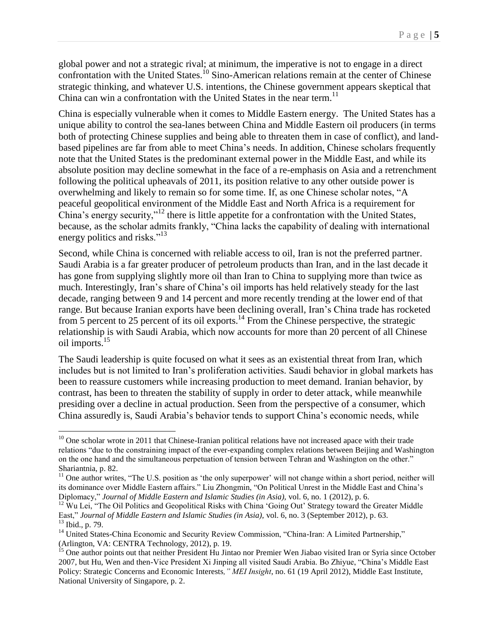global power and not a strategic rival; at minimum, the imperative is not to engage in a direct confrontation with the United States.<sup>10</sup> Sino-American relations remain at the center of Chinese strategic thinking, and whatever U.S. intentions, the Chinese government appears skeptical that China can win a confrontation with the United States in the near term.<sup>11</sup>

China is especially vulnerable when it comes to Middle Eastern energy. The United States has a unique ability to control the sea-lanes between China and Middle Eastern oil producers (in terms both of protecting Chinese supplies and being able to threaten them in case of conflict), and landbased pipelines are far from able to meet China's needs. In addition, Chinese scholars frequently note that the United States is the predominant external power in the Middle East, and while its absolute position may decline somewhat in the face of a re-emphasis on Asia and a retrenchment following the political upheavals of 2011, its position relative to any other outside power is overwhelming and likely to remain so for some time. If, as one Chinese scholar notes, "A peaceful geopolitical environment of the Middle East and North Africa is a requirement for China's energy security,"<sup>12</sup> there is little appetite for a confrontation with the United States, because, as the scholar admits frankly, "China lacks the capability of dealing with international energy politics and risks."<sup>13</sup>

Second, while China is concerned with reliable access to oil, Iran is not the preferred partner. Saudi Arabia is a far greater producer of petroleum products than Iran, and in the last decade it has gone from supplying slightly more oil than Iran to China to supplying more than twice as much. Interestingly, Iran's share of China's oil imports has held relatively steady for the last decade, ranging between 9 and 14 percent and more recently trending at the lower end of that range. But because Iranian exports have been declining overall, Iran's China trade has rocketed from 5 percent to 25 percent of its oil exports.<sup>14</sup> From the Chinese perspective, the strategic relationship is with Saudi Arabia, which now accounts for more than 20 percent of all Chinese oil imports.<sup>15</sup>

The Saudi leadership is quite focused on what it sees as an existential threat from Iran, which includes but is not limited to Iran's proliferation activities. Saudi behavior in global markets has been to reassure customers while increasing production to meet demand. Iranian behavior, by contrast, has been to threaten the stability of supply in order to deter attack, while meanwhile presiding over a decline in actual production. Seen from the perspective of a consumer, which China assuredly is, Saudi Arabia's behavior tends to support China's economic needs, while

 $10$  One scholar wrote in 2011 that Chinese-Iranian political relations have not increased apace with their trade relations "due to the constraining impact of the ever-expanding complex relations between Beijing and Washington on the one hand and the simultaneous perpetuation of tension between Tehran and Washington on the other." Shariantnia, p. 82.

<sup>&</sup>lt;sup>11</sup> One author writes, "The U.S. position as 'the only superpower' will not change within a short period, neither will its dominance over Middle Eastern affairs." Liu Zhongmin, "On Political Unrest in the Middle East and China's Diplomacy," *Journal of Middle Eastern and Islamic Studies (in Asia),* vol. 6, no. 1 (2012), p. 6.

<sup>&</sup>lt;sup>12</sup> Wu Lei, "The Oil Politics and Geopolitical Risks with China 'Going Out' Strategy toward the Greater Middle East," *Journal of Middle Eastern and Islamic Studies (in Asia),* vol. 6, no. 3 (September 2012), p. 63. <sup>13</sup> Ibid., p. 79.

<sup>&</sup>lt;sup>14</sup> United States-China Economic and Security Review Commission, "China-Iran: A Limited Partnership," (Arlington, VA: CENTRA Technology, 2012), p. 19.

<sup>&</sup>lt;sup>15</sup> One author points out that neither President Hu Jintao nor Premier Wen Jiabao visited Iran or Syria since October 2007, but Hu, Wen and then-Vice President Xi Jinping all visited Saudi Arabia. Bo Zhiyue, "China's Middle East Policy: Strategic Concerns and Economic Interests*," MEI Insight*, no. 61 (19 April 2012), Middle East Institute, National University of Singapore, p. 2.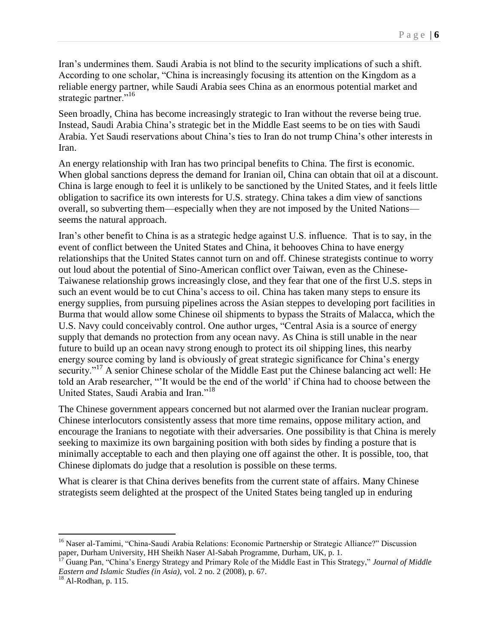Iran's undermines them. Saudi Arabia is not blind to the security implications of such a shift. According to one scholar, "China is increasingly focusing its attention on the Kingdom as a reliable energy partner, while Saudi Arabia sees China as an enormous potential market and strategic partner."<sup>16</sup>

Seen broadly, China has become increasingly strategic to Iran without the reverse being true. Instead, Saudi Arabia China's strategic bet in the Middle East seems to be on ties with Saudi Arabia. Yet Saudi reservations about China's ties to Iran do not trump China's other interests in Iran.

An energy relationship with Iran has two principal benefits to China. The first is economic. When global sanctions depress the demand for Iranian oil, China can obtain that oil at a discount. China is large enough to feel it is unlikely to be sanctioned by the United States, and it feels little obligation to sacrifice its own interests for U.S. strategy. China takes a dim view of sanctions overall, so subverting them—especially when they are not imposed by the United Nations seems the natural approach.

Iran's other benefit to China is as a strategic hedge against U.S. influence. That is to say, in the event of conflict between the United States and China, it behooves China to have energy relationships that the United States cannot turn on and off. Chinese strategists continue to worry out loud about the potential of Sino-American conflict over Taiwan, even as the Chinese-Taiwanese relationship grows increasingly close, and they fear that one of the first U.S. steps in such an event would be to cut China's access to oil. China has taken many steps to ensure its energy supplies, from pursuing pipelines across the Asian steppes to developing port facilities in Burma that would allow some Chinese oil shipments to bypass the Straits of Malacca, which the U.S. Navy could conceivably control. One author urges, "Central Asia is a source of energy supply that demands no protection from any ocean navy. As China is still unable in the near future to build up an ocean navy strong enough to protect its oil shipping lines, this nearby energy source coming by land is obviously of great strategic significance for China's energy security."<sup>17</sup> A senior Chinese scholar of the Middle East put the Chinese balancing act well: He told an Arab researcher, "'It would be the end of the world' if China had to choose between the United States, Saudi Arabia and Iran."<sup>18</sup>

The Chinese government appears concerned but not alarmed over the Iranian nuclear program. Chinese interlocutors consistently assess that more time remains, oppose military action, and encourage the Iranians to negotiate with their adversaries. One possibility is that China is merely seeking to maximize its own bargaining position with both sides by finding a posture that is minimally acceptable to each and then playing one off against the other. It is possible, too, that Chinese diplomats do judge that a resolution is possible on these terms.

What is clearer is that China derives benefits from the current state of affairs. Many Chinese strategists seem delighted at the prospect of the United States being tangled up in enduring

<sup>&</sup>lt;sup>16</sup> Naser al-Tamimi, "China-Saudi Arabia Relations: Economic Partnership or Strategic Alliance?" Discussion paper, Durham University, HH Sheikh Naser Al-Sabah Programme, Durham, UK, p. 1.

<sup>17</sup> Guang Pan, "China's Energy Strategy and Primary Role of the Middle East in This Strategy," *Journal of Middle Eastern and Islamic Studies (in Asia),* vol. 2 no. 2 (2008), p. 67.

 $^{18}$  Al-Rodhan, p. 115.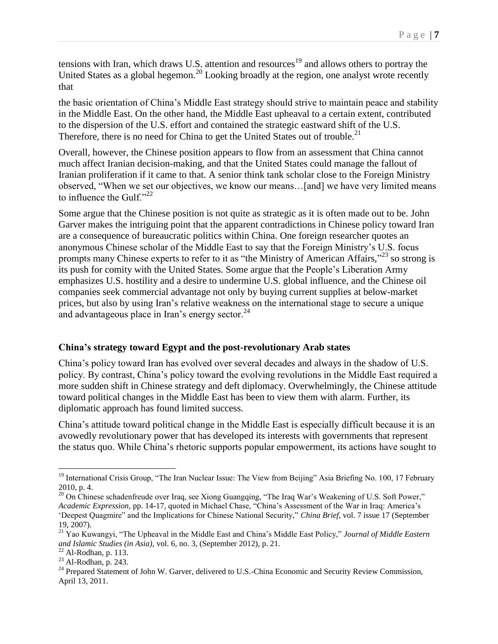tensions with Iran, which draws U.S. attention and resources<sup>19</sup> and allows others to portray the United States as a global hegemon.<sup>20</sup> Looking broadly at the region, one analyst wrote recently that

the basic orientation of China's Middle East strategy should strive to maintain peace and stability in the Middle East. On the other hand, the Middle East upheaval to a certain extent, contributed to the dispersion of the U.S. effort and contained the strategic eastward shift of the U.S. Therefore, there is no need for China to get the United States out of trouble.<sup>21</sup>

Overall, however, the Chinese position appears to flow from an assessment that China cannot much affect Iranian decision-making, and that the United States could manage the fallout of Iranian proliferation if it came to that. A senior think tank scholar close to the Foreign Ministry observed, "When we set our objectives, we know our means…[and] we have very limited means to influence the Gulf." $^{22}$ 

Some argue that the Chinese position is not quite as strategic as it is often made out to be. John Garver makes the intriguing point that the apparent contradictions in Chinese policy toward Iran are a consequence of bureaucratic politics within China. One foreign researcher quotes an anonymous Chinese scholar of the Middle East to say that the Foreign Ministry's U.S. focus prompts many Chinese experts to refer to it as "the Ministry of American Affairs,"<sup>23</sup> so strong is its push for comity with the United States. Some argue that the People's Liberation Army emphasizes U.S. hostility and a desire to undermine U.S. global influence, and the Chinese oil companies seek commercial advantage not only by buying current supplies at below-market prices, but also by using Iran's relative weakness on the international stage to secure a unique and advantageous place in Iran's energy sector. $24$ 

### **China's strategy toward Egypt and the post-revolutionary Arab states**

China's policy toward Iran has evolved over several decades and always in the shadow of U.S. policy. By contrast, China's policy toward the evolving revolutions in the Middle East required a more sudden shift in Chinese strategy and deft diplomacy. Overwhelmingly, the Chinese attitude toward political changes in the Middle East has been to view them with alarm. Further, its diplomatic approach has found limited success.

China's attitude toward political change in the Middle East is especially difficult because it is an avowedly revolutionary power that has developed its interests with governments that represent the status quo. While China's rhetoric supports popular empowerment, its actions have sought to

<sup>&</sup>lt;sup>19</sup> International Crisis Group, "The Iran Nuclear Issue: The View from Beijing" Asia Briefing No. 100, 17 February 2010, p. 4.

<sup>&</sup>lt;sup>20</sup> On Chinese schadenfreude over Iraq, see Xiong Guangqing, "The Iraq War's Weakening of U.S. Soft Power," *Academic Expression,* pp. 14-17, quoted in Michael Chase, "China's Assessment of the War in Iraq: America's 'Deepest Quagmire" and the Implications for Chinese National Security," *China Brief*, vol. 7 issue 17 (September 19, 2007).

<sup>21</sup> Yao Kuwangyi, "The Upheaval in the Middle East and China's Middle East Policy," *Journal of Middle Eastern and Islamic Studies (in Asia),* vol. 6, no. 3, (September 2012), p. 21.

 $22$  Al-Rodhan, p. 113.

 $23$  Al-Rodhan, p. 243.

<sup>&</sup>lt;sup>24</sup> Prepared Statement of John W. Garver, delivered to U.S.-China Economic and Security Review Commission, April 13, 2011.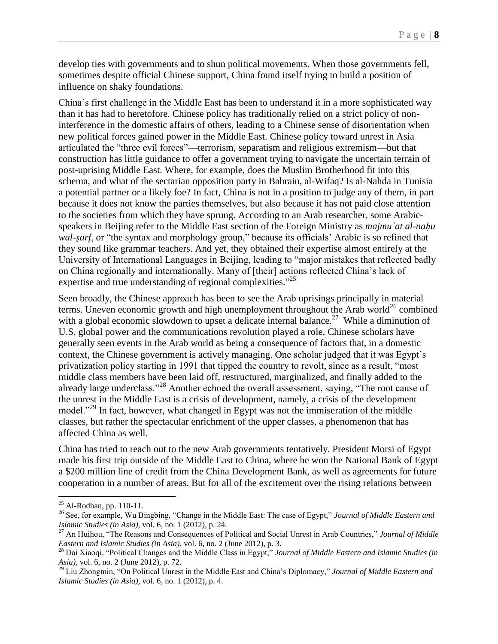develop ties with governments and to shun political movements. When those governments fell, sometimes despite official Chinese support, China found itself trying to build a position of influence on shaky foundations.

China's first challenge in the Middle East has been to understand it in a more sophisticated way than it has had to heretofore. Chinese policy has traditionally relied on a strict policy of noninterference in the domestic affairs of others, leading to a Chinese sense of disorientation when new political forces gained power in the Middle East. Chinese policy toward unrest in Asia articulated the "three evil forces"—terrorism, separatism and religious extremism—but that construction has little guidance to offer a government trying to navigate the uncertain terrain of post-uprising Middle East. Where, for example, does the Muslim Brotherhood fit into this schema, and what of the sectarian opposition party in Bahrain, al-Wifaq? Is al-Nahda in Tunisia a potential partner or a likely foe? In fact, China is not in a position to judge any of them, in part because it does not know the parties themselves, but also because it has not paid close attention to the societies from which they have sprung. According to an Arab researcher, some Arabicspeakers in Beijing refer to the Middle East section of the Foreign Ministry as *majmu at al-nahu wal-ṣarf*, or "the syntax and morphology group," because its officials' Arabic is so refined that they sound like grammar teachers. And yet, they obtained their expertise almost entirely at the University of International Languages in Beijing, leading to "major mistakes that reflected badly on China regionally and internationally. Many of [their] actions reflected China's lack of expertise and true understanding of regional complexities."<sup>25</sup>

Seen broadly, the Chinese approach has been to see the Arab uprisings principally in material terms. Uneven economic growth and high unemployment throughout the Arab world<sup>26</sup> combined with a global economic slowdown to upset a delicate internal balance.<sup>27</sup> While a diminution of U.S. global power and the communications revolution played a role, Chinese scholars have generally seen events in the Arab world as being a consequence of factors that, in a domestic context, the Chinese government is actively managing. One scholar judged that it was Egypt's privatization policy starting in 1991 that tipped the country to revolt, since as a result, "most middle class members have been laid off, restructured, marginalized, and finally added to the already large underclass."<sup>28</sup> Another echoed the overall assessment, saying, "The root cause of the unrest in the Middle East is a crisis of development, namely, a crisis of the development model.<sup>229</sup> In fact, however, what changed in Egypt was not the immiseration of the middle classes, but rather the spectacular enrichment of the upper classes, a phenomenon that has affected China as well.

China has tried to reach out to the new Arab governments tentatively. President Morsi of Egypt made his first trip outside of the Middle East to China, where he won the National Bank of Egypt a \$200 million line of credit from the China Development Bank, as well as agreements for future cooperation in a number of areas. But for all of the excitement over the rising relations between

 $^{25}$  Al-Rodhan, pp. 110-11.

<sup>26</sup> See, for example, Wu Bingbing, "Change in the Middle East: The case of Egypt," *Journal of Middle Eastern and Islamic Studies (in Asia),* vol. 6, no. 1 (2012), p. 24.

<sup>27</sup> An Huihou, "The Reasons and Consequences of Political and Social Unrest in Arab Countries," *Journal of Middle Eastern and Islamic Studies (in Asia)*, vol. 6, no. 2 (June 2012), p. 3.

<sup>28</sup> Dai Xiaoqi, "Political Changes and the Middle Class in Egypt," *Journal of Middle Eastern and Islamic Studies (in Asia),* vol. 6, no. 2 (June 2012), p. 72.

<sup>29</sup> Liu Zhongmin, "On Political Unrest in the Middle East and China's Diplomacy," *Journal of Middle Eastern and Islamic Studies (in Asia),* vol. 6, no. 1 (2012), p. 4.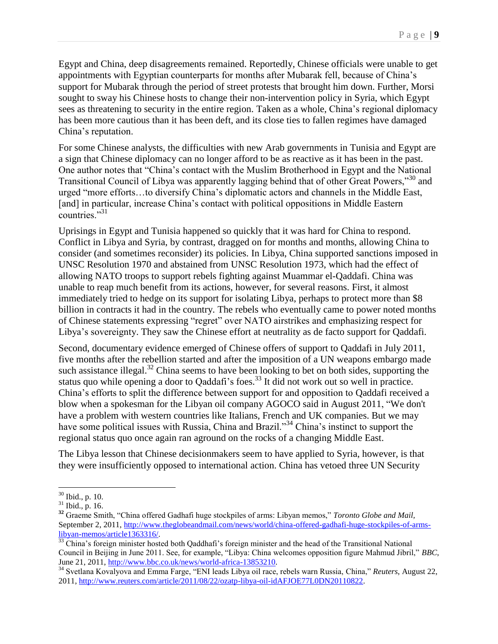Egypt and China, deep disagreements remained. Reportedly, Chinese officials were unable to get appointments with Egyptian counterparts for months after Mubarak fell, because of China's support for Mubarak through the period of street protests that brought him down. Further, Morsi sought to sway his Chinese hosts to change their non-intervention policy in Syria, which Egypt sees as threatening to security in the entire region. Taken as a whole, China's regional diplomacy has been more cautious than it has been deft, and its close ties to fallen regimes have damaged China's reputation.

For some Chinese analysts, the difficulties with new Arab governments in Tunisia and Egypt are a sign that Chinese diplomacy can no longer afford to be as reactive as it has been in the past. One author notes that "China's contact with the Muslim Brotherhood in Egypt and the National Transitional Council of Libya was apparently lagging behind that of other Great Powers,"<sup>30</sup> and urged "more efforts…to diversify China's diplomatic actors and channels in the Middle East, [and] in particular, increase China's contact with political oppositions in Middle Eastern countries."<sup>31</sup>

Uprisings in Egypt and Tunisia happened so quickly that it was hard for China to respond. Conflict in Libya and Syria, by contrast, dragged on for months and months, allowing China to consider (and sometimes reconsider) its policies. In Libya, China supported sanctions imposed in UNSC Resolution 1970 and abstained from UNSC Resolution 1973, which had the effect of allowing NATO troops to support rebels fighting against Muammar el-Qaddafi. China was unable to reap much benefit from its actions, however, for several reasons. First, it almost immediately tried to hedge on its support for isolating Libya, perhaps to protect more than \$8 billion in contracts it had in the country. The rebels who eventually came to power noted months of Chinese statements expressing "regret" over NATO airstrikes and emphasizing respect for Libya's sovereignty. They saw the Chinese effort at neutrality as de facto support for Qaddafi.

Second, documentary evidence emerged of Chinese offers of support to Qaddafi in July 2011, five months after the rebellion started and after the imposition of a UN weapons embargo made such assistance illegal.<sup>32</sup> China seems to have been looking to bet on both sides, supporting the status quo while opening a door to Qaddafi's foes.<sup>33</sup> It did not work out so well in practice. China's efforts to split the difference between support for and opposition to Qaddafi received a blow when a spokesman for the Libyan oil company AGOCO said in August 2011, "We don't have a problem with western countries like Italians, French and UK companies. But we may have some political issues with Russia, China and Brazil."<sup>34</sup> China's instinct to support the regional status quo once again ran aground on the rocks of a changing Middle East.

The Libya lesson that Chinese decisionmakers seem to have applied to Syria, however, is that they were insufficiently opposed to international action. China has vetoed three UN Security

 $\overline{a}$  $30$  Ibid., p. 10.

 $31$  Ibid., p. 16.

**<sup>32</sup>** Graeme Smith, "China offered Gadhafi huge stockpiles of arms: Libyan memos," *Toronto Globe and Mail,*  September 2, 2011, [http://www.theglobeandmail.com/news/world/china-offered-gadhafi-huge-stockpiles-of-arms](http://www.theglobeandmail.com/news/world/china-offered-gadhafi-huge-stockpiles-of-arms-libyan-memos/article1363316/)[libyan-memos/article1363316/.](http://www.theglobeandmail.com/news/world/china-offered-gadhafi-huge-stockpiles-of-arms-libyan-memos/article1363316/)

 $\frac{33}{33}$  China's foreign minister hosted both Qaddhafi's foreign minister and the head of the Transitional National Council in Beijing in June 2011. See, for example, "Libya: China welcomes opposition figure Mahmud Jibril," *BBC*, June 21, 2011, [http://www.bbc.co.uk/news/world-africa-13853210.](http://www.bbc.co.uk/news/world-africa-13853210)

<sup>34</sup> Svetlana Kovalyova and Emma Farge, "ENI leads Libya oil race, rebels warn Russia, China," *Reuters*, August 22, 2011, [http://www.reuters.com/article/2011/08/22/ozatp-libya-oil-idAFJOE77L0DN20110822.](http://www.reuters.com/article/2011/08/22/ozatp-libya-oil-idAFJOE77L0DN20110822)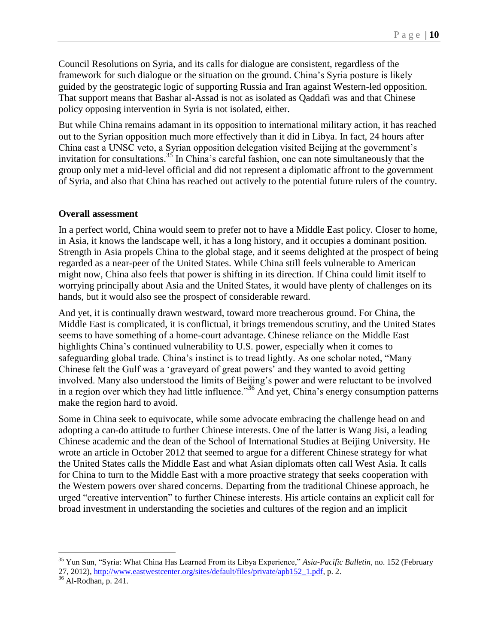Council Resolutions on Syria, and its calls for dialogue are consistent, regardless of the framework for such dialogue or the situation on the ground. China's Syria posture is likely guided by the geostrategic logic of supporting Russia and Iran against Western-led opposition. That support means that Bashar al-Assad is not as isolated as Qaddafi was and that Chinese policy opposing intervention in Syria is not isolated, either.

But while China remains adamant in its opposition to international military action, it has reached out to the Syrian opposition much more effectively than it did in Libya. In fact, 24 hours after China cast a UNSC veto, a Syrian opposition delegation visited Beijing at the government's invitation for consultations.<sup>35</sup> In China's careful fashion, one can note simultaneously that the group only met a mid-level official and did not represent a diplomatic affront to the government of Syria, and also that China has reached out actively to the potential future rulers of the country.

#### **Overall assessment**

In a perfect world, China would seem to prefer not to have a Middle East policy. Closer to home, in Asia, it knows the landscape well, it has a long history, and it occupies a dominant position. Strength in Asia propels China to the global stage, and it seems delighted at the prospect of being regarded as a near-peer of the United States. While China still feels vulnerable to American might now, China also feels that power is shifting in its direction. If China could limit itself to worrying principally about Asia and the United States, it would have plenty of challenges on its hands, but it would also see the prospect of considerable reward.

And yet, it is continually drawn westward, toward more treacherous ground. For China, the Middle East is complicated, it is conflictual, it brings tremendous scrutiny, and the United States seems to have something of a home-court advantage. Chinese reliance on the Middle East highlights China's continued vulnerability to U.S. power, especially when it comes to safeguarding global trade. China's instinct is to tread lightly. As one scholar noted, "Many Chinese felt the Gulf was a 'graveyard of great powers' and they wanted to avoid getting involved. Many also understood the limits of Beijing's power and were reluctant to be involved in a region over which they had little influence."<sup>36</sup> And yet, China's energy consumption patterns make the region hard to avoid.

Some in China seek to equivocate, while some advocate embracing the challenge head on and adopting a can-do attitude to further Chinese interests. One of the latter is Wang Jisi, a leading Chinese academic and the dean of the School of International Studies at Beijing University. He wrote an article in October 2012 that seemed to argue for a different Chinese strategy for what the United States calls the Middle East and what Asian diplomats often call West Asia. It calls for China to turn to the Middle East with a more proactive strategy that seeks cooperation with the Western powers over shared concerns. Departing from the traditional Chinese approach, he urged "creative intervention" to further Chinese interests. His article contains an explicit call for broad investment in understanding the societies and cultures of the region and an implicit

<sup>35</sup> Yun Sun, "Syria: What China Has Learned From its Libya Experience," *Asia-Pacific Bulletin*, no. 152 (February 27, 2012), [http://www.eastwestcenter.org/sites/default/files/private/apb152\\_1.pdf,](http://www.eastwestcenter.org/sites/default/files/private/apb152_1.pdf) p. 2.

<sup>36</sup> Al-Rodhan, p. 241.